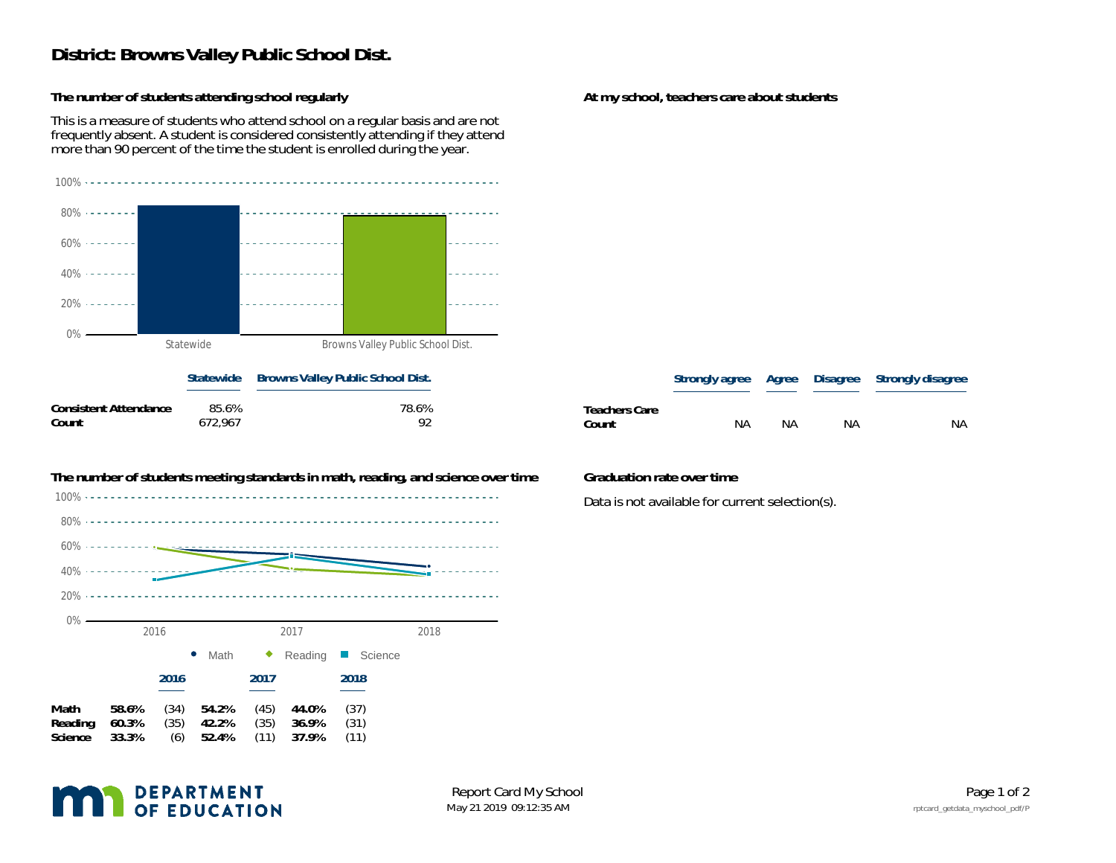## **District: Browns Valley Public School Dist.**

**The number of students attending school regularly**

This is a measure of students who attend school on a regular basis and are not frequently absent. A student is considered consistently attending if they attend more than 90 percent of the time the student is enrolled during the year.



|                       |         | plate wide browns vancy rabile sensor bist. |  |
|-----------------------|---------|---------------------------------------------|--|
| Consistent Attendance | 85.6%   | 78.6%                                       |  |
| Count                 | 672.967 | 92                                          |  |



**The number of students meeting standards in math, reading, and science over time Graduation rate over time**

## **At my school, teachers care about students**

|               |    |    |    | Strongly agree Agree Disagree Strongly disagree |
|---------------|----|----|----|-------------------------------------------------|
| Teachers Care |    |    |    |                                                 |
| Count         | NΑ | ΝA | ΝA | NА                                              |

Data is not available for current selection(s).